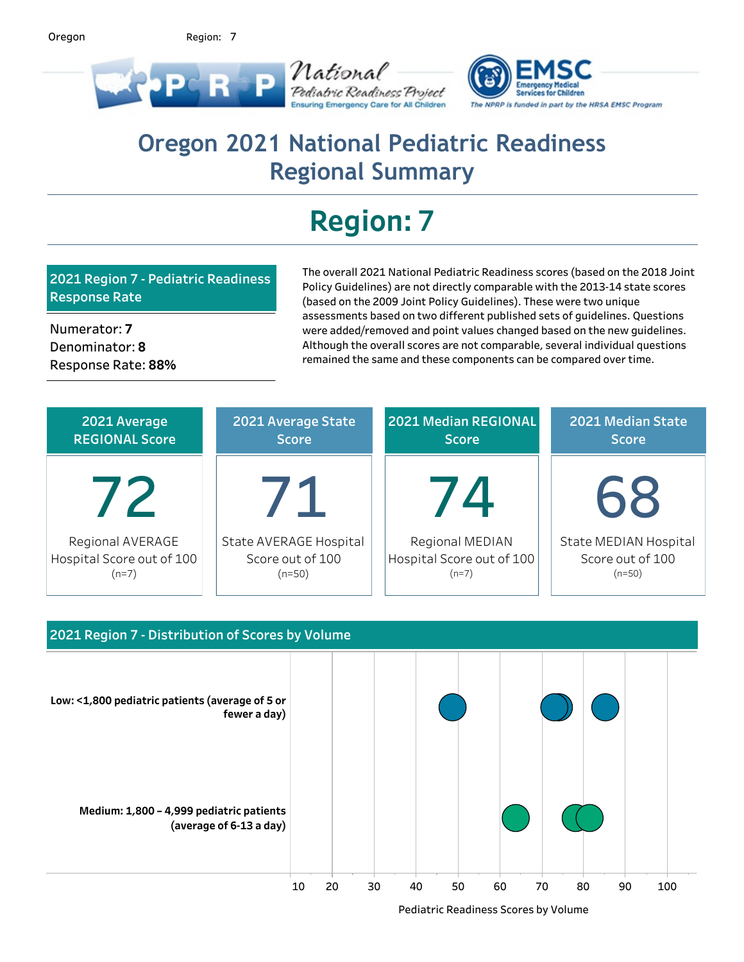Oregon

7 Region:



# Oregon 2021 National Pediatric Readiness **Regional Summary**

# **Region:7**

### **2021Region7-PediatricReadiness Response Rate**

Numerator:7 Denominator:8 Response Rate: 88% The overall 2021 National Pediatric Readiness scores (based on the 2018 Joint Policy Guidelines) are not directly comparable with the 2013-14 state scores (based on the 2009 Joint Policy Guidelines). These were two unique assessments based on two different published sets of guidelines. Questions were added/removed and point values changed based on the new guidelines. Although the overall scores are not comparable, several individual questions remained the same and these components can be compared over time.

| 2021 Average              | 2021 Average State     | 2021 Median REGIONAL      | 2021 Median State     |
|---------------------------|------------------------|---------------------------|-----------------------|
| <b>REGIONAL Score</b>     | <b>Score</b>           | <b>Score</b>              | <b>Score</b>          |
| 12 <sup>7</sup>           |                        | 74                        | 68                    |
| Regional AVERAGE          | State AVERAGE Hospital | Regional MEDIAN           | State MEDIAN Hospital |
| Hospital Score out of 100 | Score out of 100       | Hospital Score out of 100 | Score out of 100      |
| $(n=7)$                   | $(n=50)$               | $(n=7)$                   | $(n=50)$              |



Pediatric Readiness Scores by Volume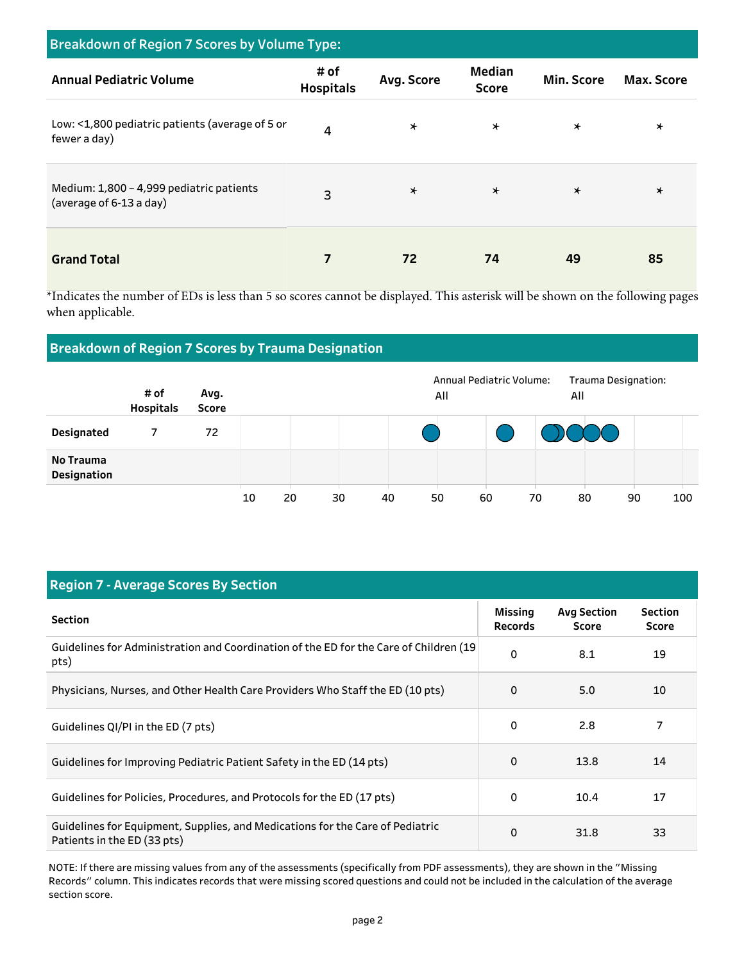| Breakdown of Region 7 Scores by Volume Type:                        |                          |            |                               |            |                   |
|---------------------------------------------------------------------|--------------------------|------------|-------------------------------|------------|-------------------|
| <b>Annual Pediatric Volume</b>                                      | # of<br><b>Hospitals</b> | Avg. Score | <b>Median</b><br><b>Score</b> | Min. Score | <b>Max. Score</b> |
| Low: <1,800 pediatric patients (average of 5 or<br>fewer a day)     | 4                        | $\star$    | $\star$                       | $\star$    | $\star$           |
| Medium: 1,800 - 4,999 pediatric patients<br>(average of 6-13 a day) | 3                        | $\star$    | $\star$                       | $\star$    | $\star$           |
| <b>Grand Total</b>                                                  | 7                        | 72         | 74                            | 49         | 85                |

\*Indicates the number of EDs is less than 5 so scores cannot be displayed. This asterisk will be shown on the following pages when applicable.

#### **Breakdown of Region 7 Scores by Trauma Designation**



#### **Region 7 - Average Scores By Section**

| <b>Section</b>                                                                                               | <b>Missing</b><br><b>Records</b> | <b>Avg Section</b><br><b>Score</b> | <b>Section</b><br><b>Score</b> |
|--------------------------------------------------------------------------------------------------------------|----------------------------------|------------------------------------|--------------------------------|
| Guidelines for Administration and Coordination of the ED for the Care of Children (19<br>pts)                | 0                                | 8.1                                | 19                             |
| Physicians, Nurses, and Other Health Care Providers Who Staff the ED (10 pts)                                | 0                                | 5.0                                | 10                             |
| Guidelines QI/PI in the ED (7 pts)                                                                           | 0                                | 2.8                                | 7                              |
| Guidelines for Improving Pediatric Patient Safety in the ED (14 pts)                                         | $\Omega$                         | 13.8                               | 14                             |
| Guidelines for Policies, Procedures, and Protocols for the ED (17 pts)                                       | 0                                | 10.4                               | 17                             |
| Guidelines for Equipment, Supplies, and Medications for the Care of Pediatric<br>Patients in the ED (33 pts) | 0                                | 31.8                               | 33                             |

NOTE: If there are missing values from any of the assessments (specifically from PDF assessments), they are shown in the "Missing Records" column. This indicates records that were missing scored questions and could not be included in the calculation of the average section score.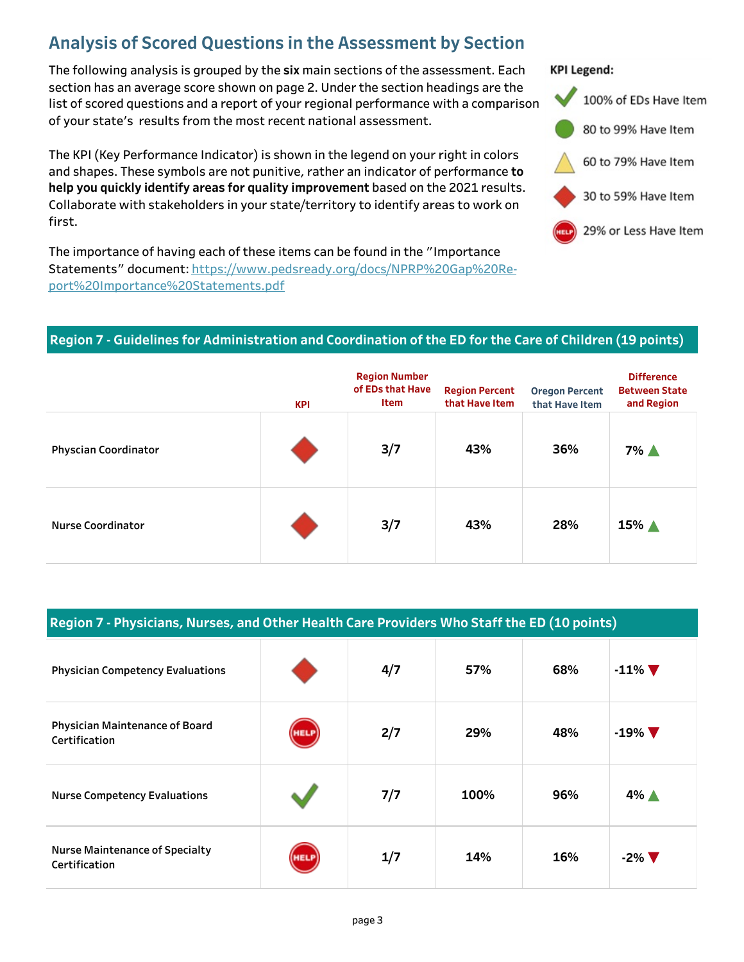# **Analysis of Scored Questions in the Assessment by Section**

The following analysis is grouped by the six main sections of the assessment. Each section has an average score shown on page 2. Under the section headings are the list of scored questions and a report of your regional performance with a comparison of your state's results from the most recent national assessment.

The KPI (Key Performance Indicator) is shown in the legend on your right in colors and shapes. These symbols are not punitive, rather an indicator of performance to help you quickly identify areas for quality improvement based on the 2021 results. Collaborate with stakeholders in your state/territory to identify areas to work on first.

The importance of having each of these items can be found in the "Importance Statements" document: https://www.pedsready.org/docs/NPRP%20Gap%20Report%20Importance%20Statements.pdf

#### **KPI Legend:**



#### Region 7 - Guidelines for Administration and Coordination of the ED for the Care of Children (19 points)

|                             | <b>KPI</b> | <b>Region Number</b><br>of EDs that Have<br>Item | <b>Region Percent</b><br>that Have Item | <b>Oregon Percent</b><br>that Have Item | <b>Difference</b><br><b>Between State</b><br>and Region |
|-----------------------------|------------|--------------------------------------------------|-----------------------------------------|-----------------------------------------|---------------------------------------------------------|
| <b>Physcian Coordinator</b> |            | 3/7                                              | 43%                                     | 36%                                     | 7% A                                                    |
| Nurse Coordinator           |            | 3/7                                              | 43%                                     | 28%                                     | 15% $\triangle$                                         |

| Region 7 - Physicians, Nurses, and Other Health Care Providers Who Staff the ED (10 points) \ |
|-----------------------------------------------------------------------------------------------|
|-----------------------------------------------------------------------------------------------|

| <b>Physician Competency Evaluations</b>                |             | 4/7 | 57%  | 68% | $-11\%$ $\blacktriangledown$ |
|--------------------------------------------------------|-------------|-----|------|-----|------------------------------|
| <b>Physician Maintenance of Board</b><br>Certification | HELP        | 2/7 | 29%  | 48% | $-19\%$ $\nabla$             |
| <b>Nurse Competency Evaluations</b>                    |             | 7/7 | 100% | 96% | 4% A                         |
| <b>Nurse Maintenance of Specialty</b><br>Certification | <b>HELP</b> | 1/7 | 14%  | 16% | $-2\%$ $\nabla$              |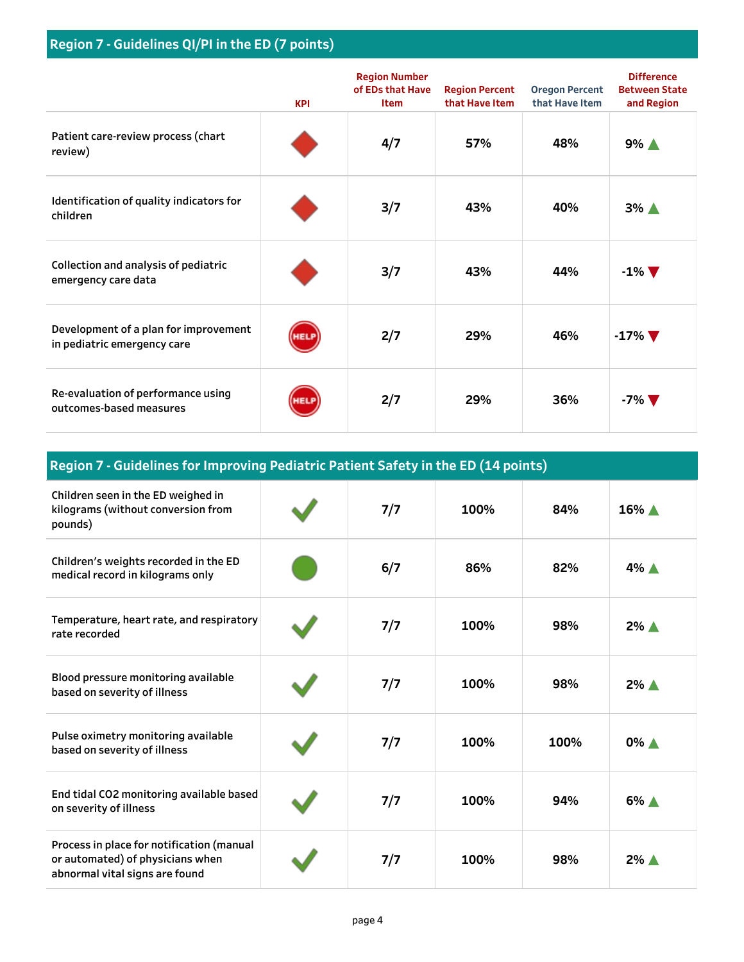|                                                                      | <b>KPI</b> | <b>Region Number</b><br>of EDs that Have<br><b>Item</b> | <b>Region Percent</b><br>that Have Item | <b>Oregon Percent</b><br>that Have Item | <b>Difference</b><br><b>Between State</b><br>and Region |
|----------------------------------------------------------------------|------------|---------------------------------------------------------|-----------------------------------------|-----------------------------------------|---------------------------------------------------------|
| Patient care-review process (chart<br>review)                        |            | 4/7                                                     | 57%                                     | 48%                                     | $9\%$ $\triangle$                                       |
| Identification of quality indicators for<br>children                 |            | 3/7                                                     | 43%                                     | 40%                                     | $3\%$ $\triangle$                                       |
| Collection and analysis of pediatric<br>emergency care data          |            | 3/7                                                     | 43%                                     | 44%                                     | $-1\%$ $\nabla$                                         |
| Development of a plan for improvement<br>in pediatric emergency care | IELI       | 2/7                                                     | 29%                                     | 46%                                     | $-17\%$ $\blacktriangledown$                            |
| Re-evaluation of performance using<br>outcomes-based measures        |            | 2/7                                                     | 29%                                     | 36%                                     | $-7\%$ $\blacktriangledown$                             |

| Region 7 - Guidelines for Improving Pediatric Patient Safety in the ED (14 points)                              |  |     |      |      |                    |  |
|-----------------------------------------------------------------------------------------------------------------|--|-----|------|------|--------------------|--|
| Children seen in the ED weighed in<br>kilograms (without conversion from<br>pounds)                             |  | 7/7 | 100% | 84%  | $16\%$ $\triangle$ |  |
| Children's weights recorded in the ED<br>medical record in kilograms only                                       |  | 6/7 | 86%  | 82%  | 4% ▲               |  |
| Temperature, heart rate, and respiratory<br>rate recorded                                                       |  | 7/7 | 100% | 98%  | $2\%$ $\triangle$  |  |
| Blood pressure monitoring available<br>based on severity of illness                                             |  | 7/7 | 100% | 98%  | $2\%$ $\triangle$  |  |
| Pulse oximetry monitoring available<br>based on severity of illness                                             |  | 7/7 | 100% | 100% | $0\%$ $\triangle$  |  |
| End tidal CO2 monitoring available based<br>on severity of illness                                              |  | 7/7 | 100% | 94%  | $6\%$ $\triangle$  |  |
| Process in place for notification (manual<br>or automated) of physicians when<br>abnormal vital signs are found |  | 7/7 | 100% | 98%  | 2% ▲               |  |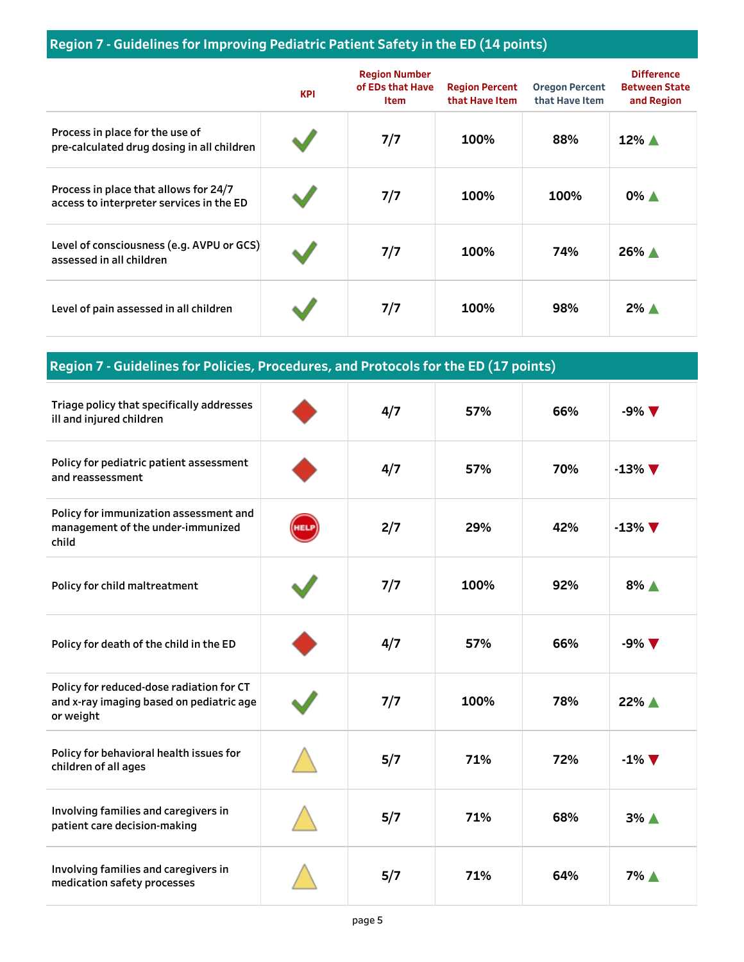#### Region 7 - Guidelines for Improving Pediatric Patient Safety in the ED (14 points)

|                                                                                   | <b>KPI</b> | <b>Region Number</b><br>of EDs that Have<br>Item | <b>Region Percent</b><br>that Have Item | <b>Oregon Percent</b><br>that Have Item | <b>Difference</b><br><b>Between State</b><br>and Region |
|-----------------------------------------------------------------------------------|------------|--------------------------------------------------|-----------------------------------------|-----------------------------------------|---------------------------------------------------------|
| Process in place for the use of<br>pre-calculated drug dosing in all children     |            | 7/7                                              | 100%                                    | 88%                                     | 12% ▲                                                   |
| Process in place that allows for 24/7<br>access to interpreter services in the ED |            | 7/7                                              | 100%                                    | 100%                                    | 0% ▲                                                    |
| Level of consciousness (e.g. AVPU or GCS)<br>assessed in all children             |            | 7/7                                              | 100%                                    | 74%                                     | 26% ▲                                                   |
| Level of pain assessed in all children                                            |            | 7/7                                              | 100%                                    | 98%                                     | $2\%$ $\triangle$                                       |

#### **Region 7 - Guidelines for Policies, Procedures, and Protocols for the ED (17 points)**

| Triage policy that specifically addresses<br>ill and injured children                             | 4/7 | 57%  | 66% | $-9\%$ $\nabla$              |
|---------------------------------------------------------------------------------------------------|-----|------|-----|------------------------------|
| Policy for pediatric patient assessment<br>and reassessment                                       | 4/7 | 57%  | 70% | $-13\%$ $\nabla$             |
| Policy for immunization assessment and<br>management of the under-immunized<br>child              | 2/7 | 29%  | 42% | $-13\%$ $\blacktriangledown$ |
| Policy for child maltreatment                                                                     | 7/7 | 100% | 92% | 8% A                         |
| Policy for death of the child in the ED                                                           | 4/7 | 57%  | 66% | $-9\%$ $\nabla$              |
| Policy for reduced-dose radiation for CT<br>and x-ray imaging based on pediatric age<br>or weight | 7/7 | 100% | 78% | 22% ▲                        |
| Policy for behavioral health issues for<br>children of all ages                                   | 5/7 | 71%  | 72% | $-1\%$ $\nabla$              |
| Involving families and caregivers in<br>patient care decision-making                              | 5/7 | 71%  | 68% | 3% A                         |
| Involving families and caregivers in<br>medication safety processes                               | 5/7 | 71%  | 64% | 7% A                         |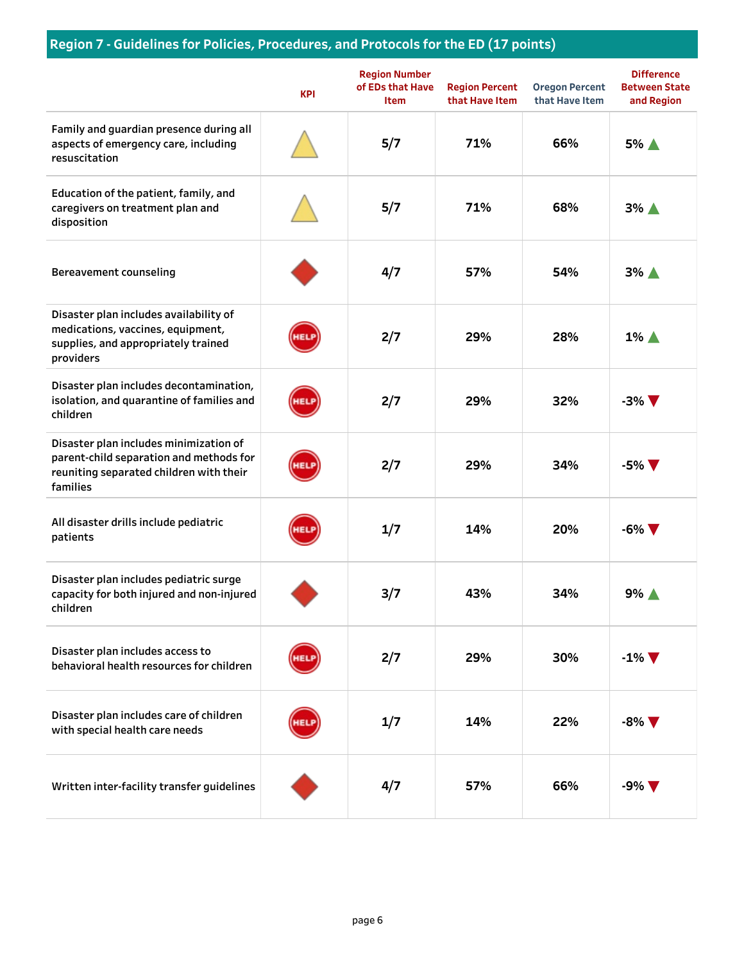## Region 7 - Guidelines for Policies, Procedures, and Protocols for the ED (17 points)

|                                                                                                                                          | <b>KPI</b> | <b>Region Number</b><br>of EDs that Have<br><b>Item</b> | <b>Region Percent</b><br>that Have Item | <b>Oregon Percent</b><br>that Have Item | <b>Difference</b><br><b>Between State</b><br>and Region |
|------------------------------------------------------------------------------------------------------------------------------------------|------------|---------------------------------------------------------|-----------------------------------------|-----------------------------------------|---------------------------------------------------------|
| Family and guardian presence during all<br>aspects of emergency care, including<br>resuscitation                                         |            | 5/7                                                     | 71%                                     | 66%                                     | $5\%$ $\triangle$                                       |
| Education of the patient, family, and<br>caregivers on treatment plan and<br>disposition                                                 |            | 5/7                                                     | 71%                                     | 68%                                     | $3\%$ $\triangle$                                       |
| Bereavement counseling                                                                                                                   |            | 4/7                                                     | 57%                                     | 54%                                     | $3\%$ $\triangle$                                       |
| Disaster plan includes availability of<br>medications, vaccines, equipment,<br>supplies, and appropriately trained<br>providers          |            | 2/7                                                     | 29%                                     | 28%                                     | $1\%$ $\triangle$                                       |
| Disaster plan includes decontamination,<br>isolation, and quarantine of families and<br>children                                         |            | 2/7                                                     | 29%                                     | 32%                                     | $-3\%$ $\nabla$                                         |
| Disaster plan includes minimization of<br>parent-child separation and methods for<br>reuniting separated children with their<br>families |            | 2/7                                                     | 29%                                     | 34%                                     | $-5\%$ $\nabla$                                         |
| All disaster drills include pediatric<br>patients                                                                                        |            | 1/7                                                     | 14%                                     | 20%                                     | $-6\%$ $\nabla$                                         |
| Disaster plan includes pediatric surge<br>capacity for both injured and non-injured<br>children                                          |            | 3/7                                                     | 43%                                     | 34%                                     | $9\%$ $\triangle$                                       |
| Disaster plan includes access to<br>behavioral health resources for children                                                             |            | 2/7                                                     | 29%                                     | 30%                                     | $-1\%$ $\nabla$                                         |
| Disaster plan includes care of children<br>with special health care needs                                                                |            | 1/7                                                     | 14%                                     | 22%                                     | $-8\%$ $\nabla$                                         |
| Written inter-facility transfer guidelines                                                                                               |            | 4/7                                                     | 57%                                     | 66%                                     | $-9\%$ $\nabla$                                         |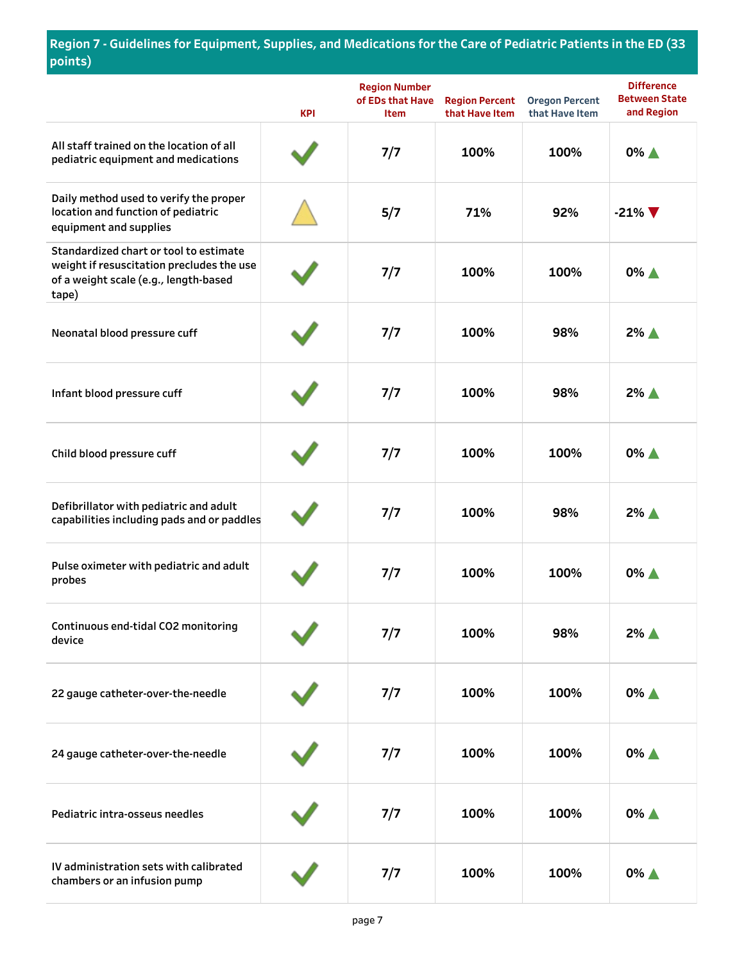#### Region 7 - Guidelines for Equipment, Supplies, and Medications for the Care of Pediatric Patients in the ED (33 **points)**

|                                                                                                                                       | <b>KPI</b> | <b>Region Number</b><br>of EDs that Have<br>Item | <b>Region Percent</b><br>that Have Item | <b>Oregon Percent</b><br>that Have Item | <b>Difference</b><br><b>Between State</b><br>and Region |
|---------------------------------------------------------------------------------------------------------------------------------------|------------|--------------------------------------------------|-----------------------------------------|-----------------------------------------|---------------------------------------------------------|
| All staff trained on the location of all<br>pediatric equipment and medications                                                       |            | 7/7                                              | 100%                                    | 100%                                    | 0% A                                                    |
| Daily method used to verify the proper<br>location and function of pediatric<br>equipment and supplies                                |            | 5/7                                              | 71%                                     | 92%                                     | $-21\%$ $\blacktriangledown$                            |
| Standardized chart or tool to estimate<br>weight if resuscitation precludes the use<br>of a weight scale (e.g., length-based<br>tape) |            | 7/7                                              | 100%                                    | 100%                                    | $0\%$ $\triangle$                                       |
| Neonatal blood pressure cuff                                                                                                          |            | 7/7                                              | 100%                                    | 98%                                     | $2\%$ $\triangle$                                       |
| Infant blood pressure cuff                                                                                                            |            | 7/7                                              | 100%                                    | 98%                                     | $2\%$ $\triangle$                                       |
| Child blood pressure cuff                                                                                                             |            | 7/7                                              | 100%                                    | 100%                                    | 0% A                                                    |
| Defibrillator with pediatric and adult<br>capabilities including pads and or paddles                                                  |            | 7/7                                              | 100%                                    | 98%                                     | $2\%$ $\triangle$                                       |
| Pulse oximeter with pediatric and adult<br>probes                                                                                     |            | 7/7                                              | 100%                                    | 100%                                    | 0% A                                                    |
| Continuous end-tidal CO2 monitoring<br>device                                                                                         |            | 7/7                                              | 100%                                    | 98%                                     | $2\%$ $\triangle$                                       |
| 22 gauge catheter-over-the-needle                                                                                                     |            | 7/7                                              | 100%                                    | 100%                                    | 0% ▲                                                    |
| 24 gauge catheter-over-the-needle                                                                                                     |            | 7/7                                              | 100%                                    | 100%                                    | $0\%$ $\triangle$                                       |
| Pediatric intra-osseus needles                                                                                                        |            | 7/7                                              | 100%                                    | 100%                                    | 0% ▲                                                    |
| IV administration sets with calibrated<br>chambers or an infusion pump                                                                |            | 7/7                                              | 100%                                    | 100%                                    | $0\%$ $\triangle$                                       |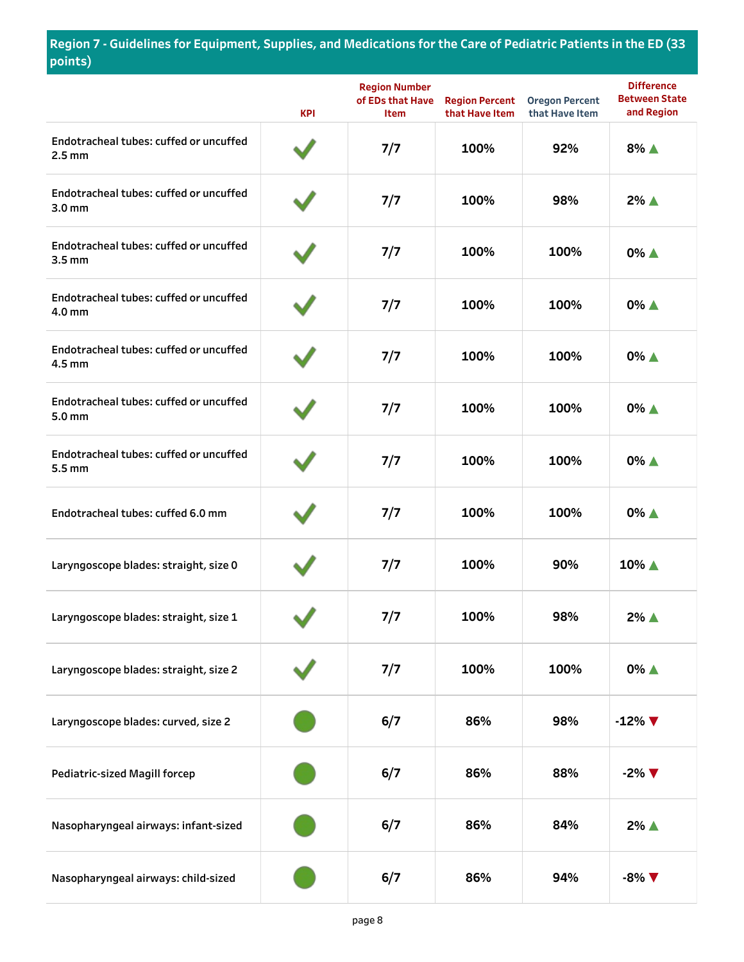|                                                             | <b>KPI</b> | <b>Region Number</b><br>of EDs that Have<br><b>Item</b> | <b>Region Percent</b><br>that Have Item | <b>Oregon Percent</b><br>that Have Item | <b>Difference</b><br><b>Between State</b><br>and Region |
|-------------------------------------------------------------|------------|---------------------------------------------------------|-----------------------------------------|-----------------------------------------|---------------------------------------------------------|
| Endotracheal tubes: cuffed or uncuffed<br>$2.5$ mm          |            | 7/7                                                     | 100%                                    | 92%                                     | 8% A                                                    |
| Endotracheal tubes: cuffed or uncuffed<br>3.0 <sub>mm</sub> |            | 7/7                                                     | 100%                                    | 98%                                     | $2\%$ $\triangle$                                       |
| Endotracheal tubes: cuffed or uncuffed<br>$3.5 \text{ mm}$  |            | 7/7                                                     | 100%                                    | 100%                                    | 0% ▲                                                    |
| Endotracheal tubes: cuffed or uncuffed<br>4.0 mm            |            | 7/7                                                     | 100%                                    | 100%                                    | 0% ▲                                                    |
| Endotracheal tubes: cuffed or uncuffed<br>$4.5$ mm          |            | 7/7                                                     | 100%                                    | 100%                                    | 0% ▲                                                    |
| Endotracheal tubes: cuffed or uncuffed<br>5.0 <sub>mm</sub> |            | 7/7                                                     | 100%                                    | 100%                                    | 0% ▲                                                    |
| Endotracheal tubes: cuffed or uncuffed<br>5.5 mm            |            | 7/7                                                     | 100%                                    | 100%                                    | 0% ▲                                                    |
| Endotracheal tubes: cuffed 6.0 mm                           |            | 7/7                                                     | 100%                                    | 100%                                    | 0% ▲                                                    |
| Laryngoscope blades: straight, size 0                       |            | 7/7                                                     | 100%                                    | 90%                                     | 10% ▲                                                   |
| Laryngoscope blades: straight, size 1                       |            | 7/7                                                     | 100%                                    | 98%                                     | 2% ▲                                                    |
| Laryngoscope blades: straight, size 2                       |            | 7/7                                                     | 100%                                    | 100%                                    | 0% ▲                                                    |
| Laryngoscope blades: curved, size 2                         |            | 6/7                                                     | 86%                                     | 98%                                     | $-12\%$ $\nabla$                                        |
| <b>Pediatric-sized Magill forcep</b>                        |            | 6/7                                                     | 86%                                     | 88%                                     | $-2\%$ $\nabla$                                         |
| Nasopharyngeal airways: infant-sized                        |            | 6/7                                                     | 86%                                     | 84%                                     | 2% ▲                                                    |
| Nasopharyngeal airways: child-sized                         |            | 6/7                                                     | 86%                                     | 94%                                     | $-8\%$ $\nabla$                                         |